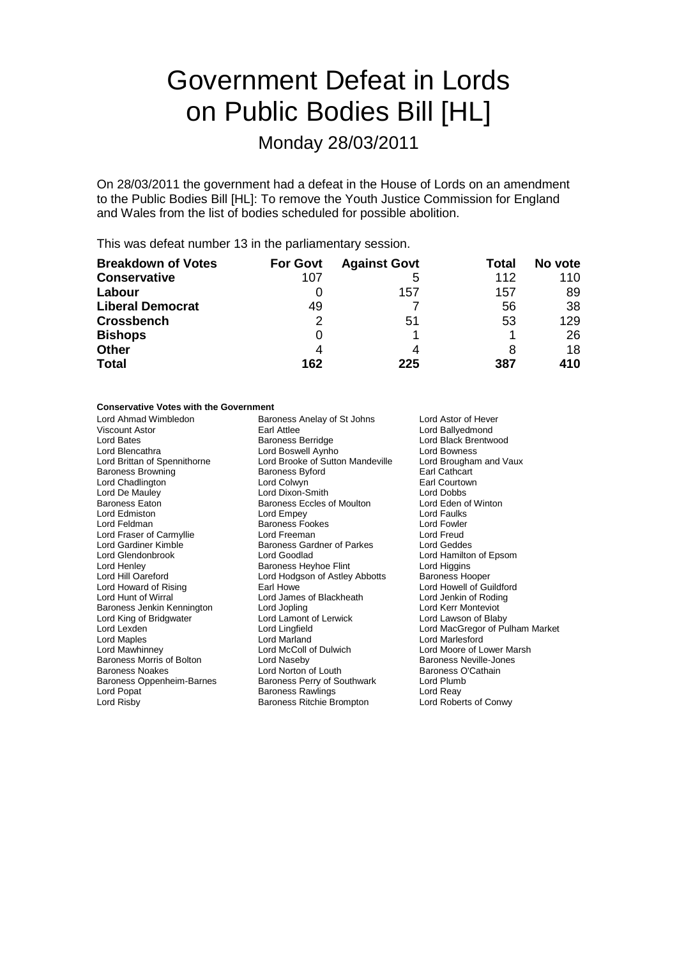# Government Defeat in Lords on Public Bodies Bill [HL]

Monday 28/03/2011

On 28/03/2011 the government had a defeat in the House of Lords on an amendment to the Public Bodies Bill [HL]: To remove the Youth Justice Commission for England and Wales from the list of bodies scheduled for possible abolition.

This was defeat number 13 in the parliamentary session.

| <b>Breakdown of Votes</b> | <b>For Govt</b> | <b>Against Govt</b> | Total | No vote |
|---------------------------|-----------------|---------------------|-------|---------|
| <b>Conservative</b>       | 107             | 5                   | 112   | 110     |
| Labour                    |                 | 157                 | 157   | 89      |
| <b>Liberal Democrat</b>   | 49              |                     | 56    | 38      |
| <b>Crossbench</b>         | 2               | 51                  | 53    | 129     |
| <b>Bishops</b>            |                 |                     |       | 26      |
| <b>Other</b>              | 4               | 4                   |       | 18      |
| <b>Total</b>              | 162             | 225                 | 387   | 410     |

## **Conservative Votes with the Government**

| Lord Ahmad Wimbledon         | Baroness Anelay of St Johns                                | Lord Astor of Hever             |  |
|------------------------------|------------------------------------------------------------|---------------------------------|--|
| <b>Viscount Astor</b>        | Earl Attlee                                                | Lord Ballyedmond                |  |
| Lord Bates                   | <b>Baroness Berridge</b>                                   | Lord Black Brentwood            |  |
| Lord Blencathra              | Lord Boswell Aynho                                         | Lord Bowness                    |  |
| Lord Brittan of Spennithorne | Lord Brooke of Sutton Mandeville<br>Lord Brougham and Vaux |                                 |  |
| <b>Baroness Browning</b>     | <b>Baroness Byford</b>                                     | Earl Cathcart                   |  |
| Lord Chadlington             | Lord Colwyn<br>Earl Courtown                               |                                 |  |
| Lord De Mauley               | Lord Dixon-Smith                                           | Lord Dobbs                      |  |
| Baroness Eaton               | <b>Baroness Eccles of Moulton</b>                          | Lord Eden of Winton             |  |
| Lord Edmiston                | Lord Empey                                                 | Lord Faulks                     |  |
| Lord Feldman                 | <b>Baroness Fookes</b>                                     | Lord Fowler                     |  |
| Lord Fraser of Carmyllie     | Lord Freeman                                               | Lord Freud                      |  |
| Lord Gardiner Kimble         | Baroness Gardner of Parkes                                 | Lord Geddes                     |  |
| Lord Glendonbrook            | Lord Goodlad                                               | Lord Hamilton of Epsom          |  |
| Lord Henley                  | Baroness Heyhoe Flint                                      | Lord Higgins                    |  |
| Lord Hill Oareford           | Lord Hodgson of Astley Abbotts                             | Baroness Hooper                 |  |
| Lord Howard of Rising        | Earl Howe                                                  | Lord Howell of Guildford        |  |
| Lord Hunt of Wirral          | Lord James of Blackheath                                   | Lord Jenkin of Roding           |  |
| Baroness Jenkin Kennington   | Lord Jopling                                               | Lord Kerr Monteviot             |  |
| Lord King of Bridgwater      | Lord Lamont of Lerwick                                     | Lord Lawson of Blaby            |  |
| Lord Lexden                  | Lord Lingfield                                             | Lord MacGregor of Pulham Market |  |
| Lord Maples                  | Lord Marland                                               | Lord Marlesford                 |  |
| Lord Mawhinney               | Lord McColl of Dulwich                                     | Lord Moore of Lower Marsh       |  |
| Baroness Morris of Bolton    | Lord Naseby                                                | <b>Baroness Neville-Jones</b>   |  |
| <b>Baroness Noakes</b>       | Lord Norton of Louth                                       | Baroness O'Cathain              |  |
| Baroness Oppenheim-Barnes    | Baroness Perry of Southwark                                | Lord Plumb                      |  |
| Lord Popat                   | <b>Baroness Rawlings</b><br>Lord Reay                      |                                 |  |
| Lord Risby                   | Baroness Ritchie Brompton                                  | Lord Roberts of Conwy           |  |
|                              |                                                            |                                 |  |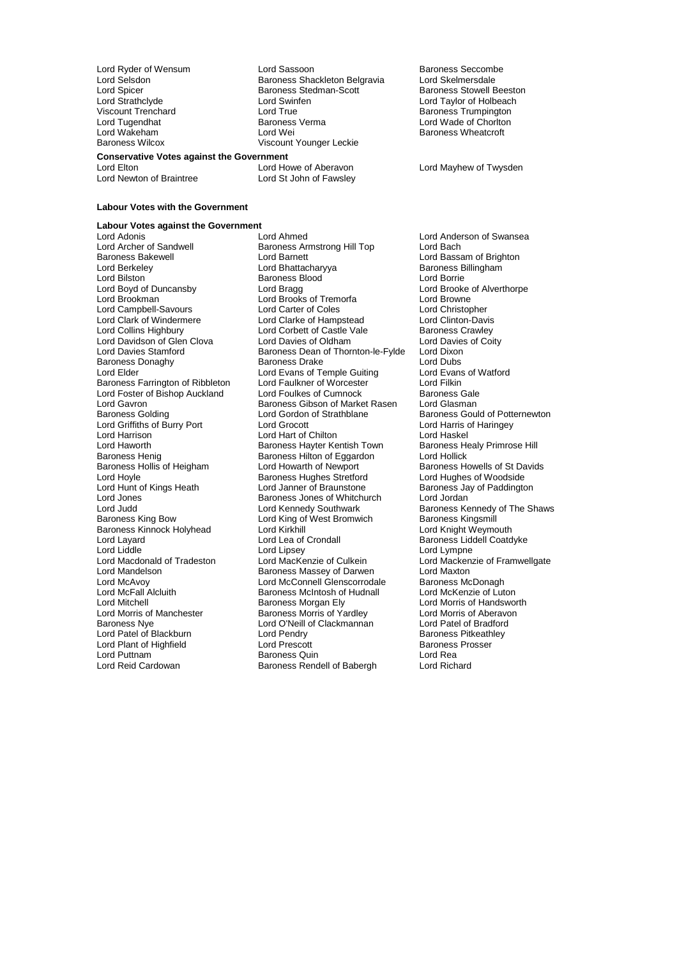**Conservative Votes against the Government** Lord Newton of Braintree Lord St John of Fawsley

### **Labour Votes with the Government**

## **Labour Votes against the Government**

Lord Archer of Sandwell Baroness Armstrong Hill Top Baroness Bakewell<br>Baroness Bakewell **Bach Lord Barnett** Lord Bilston in the Baroness Blood<br>
Lord Boyd of Duncansby<br>
Lord Bragg Lord Davidson of Glen Clova<br>Lord Davies Stamford Lord Gavron **Baroness Gibson of Market Rasen**<br>
Baroness Golding **Baroness Colding**<br>
Lord Gordon of Strathblane Baroness Henig Baroness Hilton of Eggardon<br>Baroness Hollis of Heigham Lord Howarth of Newport Lord Jones Communist Communist Baroness Jones of Whitchurch<br>
Lord Judd Communist Lord Kennedy Southwark Baroness Kinnock Holyhead Lord Kirkhill<br>Lord Layard Lord Lea of Crondall Lord McFall Alcluith Baroness McIntosh of Hudnall<br>
Lord Mitchell Cord Mitchell<br>
Baroness Morgan Ely

Lord Ryder of Wensum **Lord Sassoon** Baroness Seccombe<br>
Lord Selsdon Baroness Shackleton Belgravia Lord Skelmersdale Lord Selsdon **Baroness Shackleton Belgravia** Lord Skelmersdale<br>Lord Spicer **Baroness Stedman-Scott** Baroness Stowell Beeston Lord Spicer Baroness Stedman-Scott<br>
Baroness Stedman-Scott<br>
Lord Swinfen Lord Strathclyde Lord Swinfen Lord Taylor of Holbeach Viscount Trenchard<br>
Lord Tugendhat Baroness Verma<br>
Lord Tugendhat Baroness Verma<br>
Lord Wade of Choriton Lord Tugendhat Baroness Verma Lord Wade of Chorlton Baroness Wilcox Viscount Younger Leckie

**Baroness Wheatcroft** 

Lord Mayhew of Twysden

Lord Adonis **Lord Ahmed** Lord Ahmed Lord Anderson of Swansea<br>
Lord Archer of Sandwell **Baroness Armstrong Hill Top** Lord Bach Baroness Bakewell **Example 2** Lord Barnett Cord Baroness Bakewell<br>
Lord Baroness Billingham<br>
Lord Baroness Billingham Lord Berkeley **Lord Bhattacharyya** Baroness B<br>
Lord Bilston **Baroness Blood** Baroness Blood **Baroness** Blood Borrie Lord Brookman Lord Brooks of Tremorfa Lord Browne Lord Campbell-Savours Lord Carter of Coles Lord Christopher Lord Clark of Windermere Lord Clarke of Hampstead Lord Clinton-Davis<br>
Lord Collins Highbury Lord Corbett of Castle Vale Baroness Crawley Lord Corbett of Castle Vale Baroness Crawley<br>
Lord Davies of Oldham Lord Davies of Coity Baroness Dean of Thornton-le-Fylde Lord Dixon<br>Baroness Drake Lord Dubs Baroness Donaghy **Baroness Drake** Lord Dubs<br>
Lord Elder Lord Evans of Temple Guiting Lord Evans of Watford Lord Evans of Temple Guiting Lord Evans<br>
Lord Faulkner of Worcester Lord Filkin Baroness Farrington of Ribbleton Lord Faulkner of Worcester The Lord Filkin<br>
Lord Foster of Bishop Auckland Lord Foulkes of Cumnock Baroness Gale Lord Foster of Bishop Auckland Lord Foulkes of Cumnock Baroness Gale<br>Lord Gavron Baroness Gibson of Market Rasen Lord Glasman Lord Gordon of Strathblane<br>
Lord Grocott Lord Grocott Lord Grocott Lord Grocott Lord Grocott Lord Harris of Haringey Lord Griffiths of Burry Port Lord Grocott Lord Cristianus Lord Harris of Lord Harris of Lord Haskel<br>Lord Harrison Lord Haringey Lord Hart of Chilton Lord Harrison **Lord Harrison** Lord Harrison Lord Harrison Lord Haskel<br>
Lord Haworth **Baroness Have Harrison** Baroness Healy Primrose Hill Lord Haworth **Baroness Hayter Kentish Town**<br>Baroness Henig Baroness Hayter Kentish Town Baroness H<br>Baroness Hilton of Eggardon Lord Hollick **Example 1** Lord Howarth of Newport Baroness Howells of St Davids<br>
Baroness Hughes Stretford Lord Hughes of Woodside Lord Hoyle **Example 3**<br>
Lord Hughes of Woodside<br>
Lord Hunt of Kings Heath **Example 2** Lord Janner of Braunstone<br>
Baroness Jay of Paddington Lord Hunt of Kings Heath Lord Janner of Braunstone Baroness Jay of Paddington<br>
Lord Jones Cord Cord Lord Jordan Lord Judd<br>
Lord Kennedy Southwark Baroness Kennedy of The Shaws<br>
Baroness Kingsmill<br>
Baroness Kingsmill Lord King of West Bromwich Baroness Kingsmill<br>Lord Kirkhill Baroness Kinght Weymouth Lord Layard **Lord Lea of Crondall** Baroness Liddell Coatdyke<br>
Lord Liddle Lord Lord Linsey Lord Lord Lord Lympne Lord Liddle Lord Lord Lord Lipsey<br>
Lord Macdonald of Tradeston Lord MacKenzie of Culkein Lord Mackenz<br>
Lord Macdonald of Tradeston Lord MacKenzie of Culkein Lord Macdonald of Tradeston<br>
Lord Macdonald of Tradeston Lord MacKenzie of Culkein Lord Mackenzie of Framwellgate<br>
Lord Mandelson Baroness Massey of Darwen Lord Maxton Lord Mandelson **Baroness Massey of Darwen** Lord Maxton<br>Lord McAvov **Baroness McConnell Glenscorrodale** Baroness McDonagh Lord McAvoy **Lord McConnell Glenscorrodale** Baroness McDonagh<br>Lord McFall Alcluith **Baroness McIntosh of Hudnall** Lord McKenzie of Luton Lord Mitchell<br>
Lord Morris of Manchester<br>
Lord Morris of Manchester<br>
Baroness Morris of Yardley<br>
Lord Morris of Aberavon Lord Morris of Manchester **Baroness Morris of Yardley** Lord Morris of Aberavon Baroness Norris of Aberavon Baroness Morris of Yearly Reformed Baroness Morris of Aberavon Baroness Morris of Yearly Reformed Branch Branch Bra Lord O'Neill of Clackmannan Lord Patel of Bradford<br>Lord Pendry Clackmannan Baroness Pitkeathley Lord Patel of Blackburn Lord Pendry Baroness Pitkeath<br>Lord Plant of Highfield Lord Prescott Baroness Prosser Lord Plant of Highfield Lord Prescott **Baroness**<br>
Lord Puttnam **Baroness Cuin**<br>
Baroness Quin Lord Puttnam The State of Baroness Quin Cord Puttnam Lord Rea<br>Lord Reid Cardowan The Baroness Rendell of Babergh The Lord Richard Baroness Rendell of Babergh

Lord Brooke of Alverthorpe<br>Lord Browne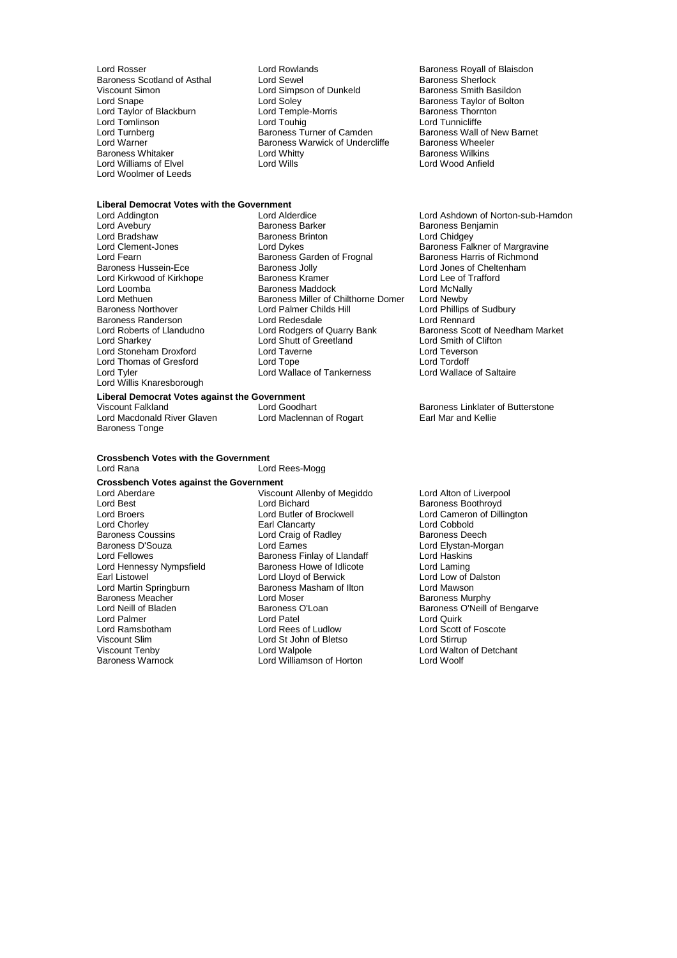Viscount Simon Lord Simpson of Dunkeld<br>
Lord Snape Lord Soley<br>
Lord Taylor of Blackburn Lord Temple-Morris Lord Williams of Elvel Lord Woolmer of Leeds

## **Liberal Democrat Votes with the Government**

Lord Bradshaw Baroness Brinton<br>
Lord Clement-Jones Cord Dykes Lord Fearn Baroness Garden of Frognal Baroness Garden of Frognal Baroness Jolly Lord Willis Knaresborough

**Liberal Democrat Votes against the Government**<br>Viscount Falkland Lord Goodbart Lord Macdonald River Glaven Baroness Tonge

### **Crossbench Votes with the Government** Lord Rana Lord Rees-Mogg

**Crossbench Votes against the Government** Lord Aberdare The Viscount Allenby of Megiddo Lord Alton of Liverpool<br>
Lord Best The Lord Bichard Cord Baroness Boothroyd Lord Best Lord Bichard Communication and Baroness Boothroyd<br>
Lord Broers Lord Butler of Brockwell<br>
Lord Broers Communication and Butler of Brockwell Lord Broers **Lord Butler of Brockwell** Lord Cameron of Dillington<br>
Lord Chorley **Lord Collect Cameron** Earl Clancarty **Lord Collect Lord Collect Collect Collect** Lord Collect Lord Collect Lord Collect Lord Collect Lord Col Lord Chorley **Earl Clancarty** Earl Clancarty **Communist Clance Cobbold**<br>
Baroness Coussins **Earl Contains Communist Contains Contains Contains Contains Contains Lord Cobbold** Examples Coussins Lord Craig of Radley<br>Baroness D'Souza Lord Craig of Radley<br>Lord Eames Baroness D'Souza Lord Eames Lord Elystan-Morgan Lord Hennessy Nympsfield Baroness Howe of Idlicote Lord Laming Earl Listowel Lord Lloyd of Berwick Lord Low of Dalston Baroness Meacher Lord Moser<br>Lord Neill of Bladen Baroness O'Loan Lord Neill of Bladen Baroness O'Loan Baroness O'Loan Baroness O'Neill of Bengarve<br>Baroness O'Neill of Baroness O'Loan Baroness O'Neill of Bengarve Lord Palmer<br>
Lord Ramsbotham

Lord Rees of Ludlow Lord Ramsbotham Lord Rees of Ludlow Lord Scott of Foscote Viscount Tenby **Lord Walpole** Lord Walpole **Lord Walton of Detchant**<br>
Baroness Warnock **Lord Williamson of Horton** Lord Woolf

Lord Rosser Lord Rowlands Baroness Royall of Blaisdon Baroness Scotland of Asthal **Lord Sewel Baroness Sherlock**<br>
Lord Simpson of Dunkeld
Corness Smith Basildon
Lord Simpson of Dunkeld
Corness Smith Basildon Lord Taylor of Blackburn and Lord Temple-Morris and Baroness Thorn<br>
Lord Touring Lord Touhig Lord Touhig Lord Tunnicliffe Lord Tomlinson Lord Touhig Lord Tunnicliffe Lord Turnberg **Baroness Turner of Camden** Baroness Wall of New Baroness Wall of New Baroness Wall of New Baroness Wall of New Barnet Barnets Wall of New Barnets Wall of New Barnets Wall of New Barnets Wall of New Barnets W Baroness Warwick of Undercliffe Baroness Wheele<br>Lord Whitty Baroness Wilkins Baroness Whitaker Lord Whitty Baroness Wilkins

Baroness Taylor of Bolton<br>Baroness Thornton

Lord Avebury Baroness Barker Baroness Benjamin Lord Clement-Jones Lord Dykes Baroness Falkner of Margravine<br>Lord Eearn Baroness Garden of Frognal Baroness Harris of Richmond Baroness Jolly **Lord Jones of Cheltenham**<br>Baroness Kramer **Lord Lee of Trafford** Lord Kirkwood of Kirkhope **Baroness Kramer** Baroness Kramer Lord Lee of T<br>
Baroness Maddock **Baroness And Lord McNally** Baroness Maddock Lord McNally<br>Baroness Miller of Chilthorne Domer Lord Newby Lord Methuen **Baroness Miller of Chilthorne Domer**<br>
Baroness Northover **Baroness New York Childs** Hill **Lord Palmer Childs Hill Lord Phillips of Sudbury<br>
Lord Redesdale Lord Rennard** Baroness Randerson<br>
Lord Roberts of Llandudno<br>
Lord Rodgers of Quarry Bank Lord Roberts of Llandudno<br>
Lord Rodgers of Quarry Bank Baroness Scott of Needham Market<br>
Lord Sharkey Lord Shutt of Greetland Lord Smith of Clifton Lord Shutt of Greetland Lord Smith of Clifton Lord Teverson<br>
Lord Taverne Lord Teverson Lord Stoneham Droxford Lord Taverne Lord Teverson Lord Teverson Lord Teverson Lord Teverson<br>
Lord Thomas of Gresford Lord Tope Lord Tope Lord Tordoff Lord Thomas of Gresford Lord Tope Lord Tordoff Lord Wallace of Tankerness

Exaroness Finlay of Llandaff Lord Haskins<br>
Baroness Howe of Idlicote Lord Laming Exaroness Masham of Ilton **Baroness Masham of Ilton Corp.**<br>
Baroness Murphy<br>
Lord Moser Lord St John of Bletso Lord Williamson of Horton

Lord Ashdown of Norton-sub-Hamdon

Viscount Falkland Cord Goodhart<br>
Lord Goodhart **Baroness Linklater of Butterstone**<br>
Earl Mar and Kellie